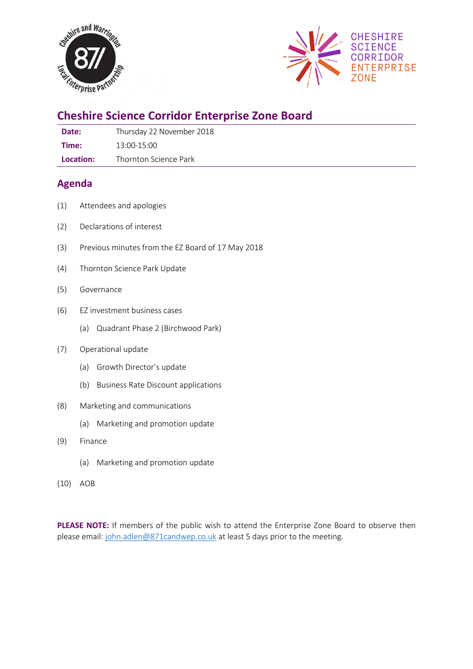



# **Cheshire Science Corridor Enterprise Zone Board**

| Date: | Thursday 22 November 2018 |
|-------|---------------------------|
| Time: | 13:00-15:00               |

**Location:** Thornton Science Park

## **Agenda**

- (1) Attendees and apologies
- (2) Declarations of interest
- (3) Previous minutes from the EZ Board of 17 May 2018
- (4) Thornton Science Park Update
- (5) Governance
- (6) EZ investment business cases
	- (a) Quadrant Phase 2 (Birchwood Park)
- (7) Operational update
	- (a) Growth Director's update
	- (b) Business Rate Discount applications
- (8) Marketing and communications
	- (a) Marketing and promotion update
- (9) Finance
	- (a) Marketing and promotion update
- (10) AOB

**PLEASE NOTE:** If members of the public wish to attend the Enterprise Zone Board to observe then please email: [john.adlen@871candwep.co.uk](mailto:john.adlen@871candwep.co.uk) at least 5 days prior to the meeting.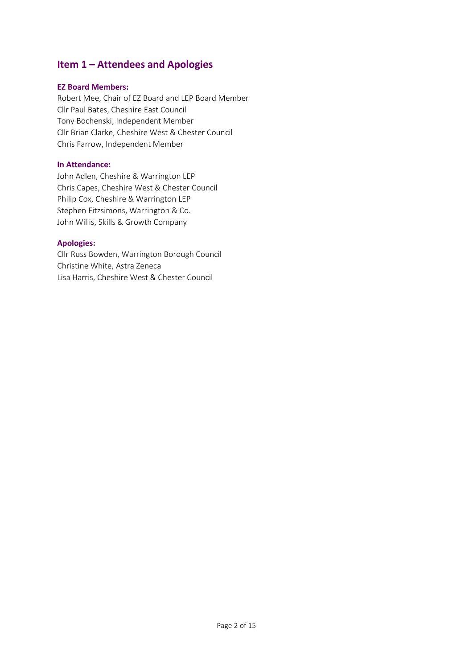## **Item 1 – Attendees and Apologies**

### **EZ Board Members:**

Robert Mee, Chair of EZ Board and LEP Board Member Cllr Paul Bates, Cheshire East Council Tony Bochenski, Independent Member Cllr Brian Clarke, Cheshire West & Chester Council Chris Farrow, Independent Member

### **In Attendance:**

John Adlen, Cheshire & Warrington LEP Chris Capes, Cheshire West & Chester Council Philip Cox, Cheshire & Warrington LEP Stephen Fitzsimons, Warrington & Co. John Willis, Skills & Growth Company

### **Apologies:**

Cllr Russ Bowden, Warrington Borough Council Christine White, Astra Zeneca Lisa Harris, Cheshire West & Chester Council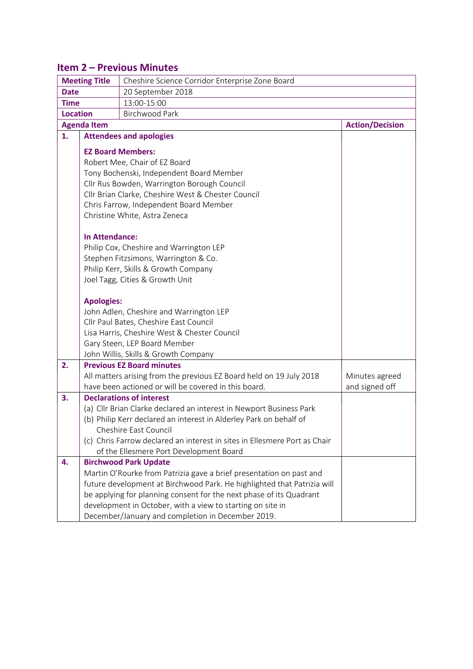## **Item 2 – Previous Minutes**

|                 | <b>Meeting Title</b><br>Cheshire Science Corridor Enterprise Zone Board   |                                                                                   |                        |  |
|-----------------|---------------------------------------------------------------------------|-----------------------------------------------------------------------------------|------------------------|--|
| <b>Date</b>     | 20 September 2018                                                         |                                                                                   |                        |  |
| <b>Time</b>     |                                                                           | 13:00-15:00                                                                       |                        |  |
| <b>Location</b> |                                                                           | <b>Birchwood Park</b>                                                             |                        |  |
|                 | <b>Agenda Item</b>                                                        |                                                                                   | <b>Action/Decision</b> |  |
| 1.              |                                                                           | <b>Attendees and apologies</b>                                                    |                        |  |
|                 |                                                                           | <b>EZ Board Members:</b>                                                          |                        |  |
|                 |                                                                           |                                                                                   |                        |  |
|                 |                                                                           | Robert Mee, Chair of EZ Board<br>Tony Bochenski, Independent Board Member         |                        |  |
|                 |                                                                           | Cllr Rus Bowden, Warrington Borough Council                                       |                        |  |
|                 |                                                                           | Cllr Brian Clarke, Cheshire West & Chester Council                                |                        |  |
|                 |                                                                           | Chris Farrow, Independent Board Member                                            |                        |  |
|                 |                                                                           | Christine White, Astra Zeneca                                                     |                        |  |
|                 |                                                                           |                                                                                   |                        |  |
|                 | <b>In Attendance:</b>                                                     |                                                                                   |                        |  |
|                 |                                                                           | Philip Cox, Cheshire and Warrington LEP                                           |                        |  |
|                 |                                                                           | Stephen Fitzsimons, Warrington & Co.                                              |                        |  |
|                 |                                                                           | Philip Kerr, Skills & Growth Company                                              |                        |  |
|                 |                                                                           | Joel Tagg, Cities & Growth Unit                                                   |                        |  |
|                 |                                                                           |                                                                                   |                        |  |
|                 | <b>Apologies:</b>                                                         |                                                                                   |                        |  |
|                 |                                                                           | John Adlen, Cheshire and Warrington LEP<br>Cllr Paul Bates, Cheshire East Council |                        |  |
|                 |                                                                           | Lisa Harris, Cheshire West & Chester Council                                      |                        |  |
|                 |                                                                           | Gary Steen, LEP Board Member                                                      |                        |  |
|                 |                                                                           | John Willis, Skills & Growth Company                                              |                        |  |
| 2.              |                                                                           | <b>Previous EZ Board minutes</b>                                                  |                        |  |
|                 |                                                                           | All matters arising from the previous EZ Board held on 19 July 2018               | Minutes agreed         |  |
|                 |                                                                           | have been actioned or will be covered in this board.                              | and signed off         |  |
| 3.              |                                                                           | <b>Declarations of interest</b>                                                   |                        |  |
|                 |                                                                           | (a) Cllr Brian Clarke declared an interest in Newport Business Park               |                        |  |
|                 |                                                                           | (b) Philip Kerr declared an interest in Alderley Park on behalf of                |                        |  |
|                 | Cheshire East Council                                                     |                                                                                   |                        |  |
|                 | (c) Chris Farrow declared an interest in sites in Ellesmere Port as Chair |                                                                                   |                        |  |
|                 | of the Ellesmere Port Development Board                                   |                                                                                   |                        |  |
| 4.              |                                                                           | <b>Birchwood Park Update</b>                                                      |                        |  |
|                 |                                                                           | Martin O'Rourke from Patrizia gave a brief presentation on past and               |                        |  |
|                 |                                                                           | future development at Birchwood Park. He highlighted that Patrizia will           |                        |  |
|                 |                                                                           | be applying for planning consent for the next phase of its Quadrant               |                        |  |
|                 |                                                                           | development in October, with a view to starting on site in                        |                        |  |
|                 |                                                                           | December/January and completion in December 2019.                                 |                        |  |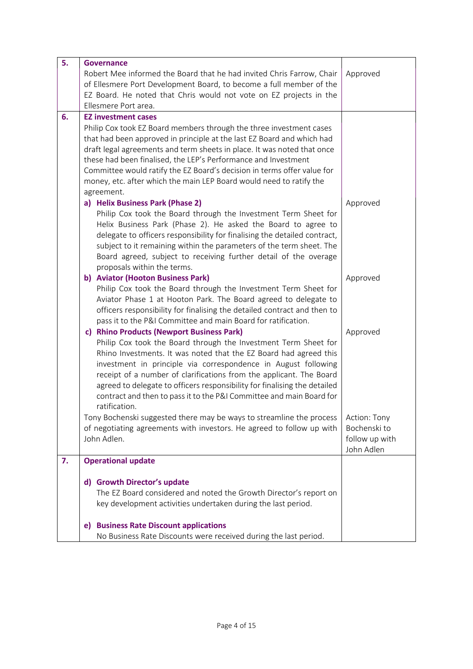| 5. | <b>Governance</b>                                                         |                              |
|----|---------------------------------------------------------------------------|------------------------------|
|    | Robert Mee informed the Board that he had invited Chris Farrow, Chair     | Approved                     |
|    | of Ellesmere Port Development Board, to become a full member of the       |                              |
|    | EZ Board. He noted that Chris would not vote on EZ projects in the        |                              |
|    | Ellesmere Port area.                                                      |                              |
| 6. | <b>EZ investment cases</b>                                                |                              |
|    | Philip Cox took EZ Board members through the three investment cases       |                              |
|    | that had been approved in principle at the last EZ Board and which had    |                              |
|    | draft legal agreements and term sheets in place. It was noted that once   |                              |
|    | these had been finalised, the LEP's Performance and Investment            |                              |
|    | Committee would ratify the EZ Board's decision in terms offer value for   |                              |
|    | money, etc. after which the main LEP Board would need to ratify the       |                              |
|    | agreement.                                                                |                              |
|    | a) Helix Business Park (Phase 2)                                          | Approved                     |
|    | Philip Cox took the Board through the Investment Term Sheet for           |                              |
|    | Helix Business Park (Phase 2). He asked the Board to agree to             |                              |
|    | delegate to officers responsibility for finalising the detailed contract, |                              |
|    | subject to it remaining within the parameters of the term sheet. The      |                              |
|    | Board agreed, subject to receiving further detail of the overage          |                              |
|    | proposals within the terms.                                               |                              |
|    | b) Aviator (Hooton Business Park)                                         | Approved                     |
|    | Philip Cox took the Board through the Investment Term Sheet for           |                              |
|    | Aviator Phase 1 at Hooton Park. The Board agreed to delegate to           |                              |
|    | officers responsibility for finalising the detailed contract and then to  |                              |
|    | pass it to the P&I Committee and main Board for ratification.             |                              |
|    | c) Rhino Products (Newport Business Park)                                 | Approved                     |
|    | Philip Cox took the Board through the Investment Term Sheet for           |                              |
|    | Rhino Investments. It was noted that the EZ Board had agreed this         |                              |
|    | investment in principle via correspondence in August following            |                              |
|    | receipt of a number of clarifications from the applicant. The Board       |                              |
|    | agreed to delegate to officers responsibility for finalising the detailed |                              |
|    | contract and then to pass it to the P&I Committee and main Board for      |                              |
|    | ratification.                                                             |                              |
|    | Tony Bochenski suggested there may be ways to streamline the process      | Action: Tony                 |
|    | of negotiating agreements with investors. He agreed to follow up with     | Bochenski to                 |
|    | John Adlen.                                                               | follow up with<br>John Adlen |
| 7. |                                                                           |                              |
|    | <b>Operational update</b>                                                 |                              |
|    | d) Growth Director's update                                               |                              |
|    | The EZ Board considered and noted the Growth Director's report on         |                              |
|    | key development activities undertaken during the last period.             |                              |
|    |                                                                           |                              |
|    | <b>Business Rate Discount applications</b><br>e)                          |                              |
|    | No Business Rate Discounts were received during the last period.          |                              |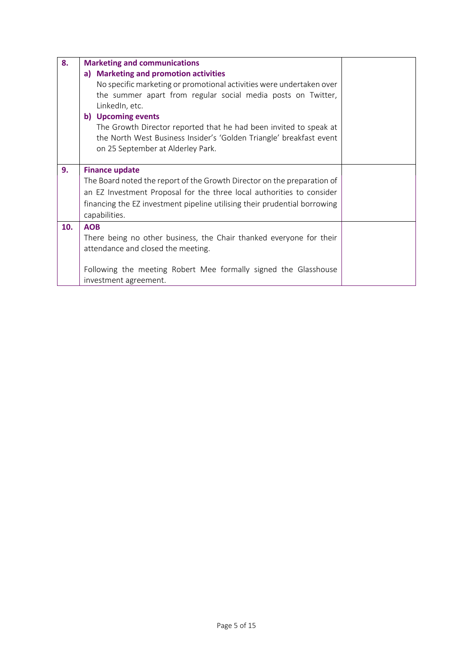| 8.  | <b>Marketing and communications</b>                                                                                                                                                                                                                                                                                                                                                                    |  |
|-----|--------------------------------------------------------------------------------------------------------------------------------------------------------------------------------------------------------------------------------------------------------------------------------------------------------------------------------------------------------------------------------------------------------|--|
|     | a) Marketing and promotion activities<br>No specific marketing or promotional activities were undertaken over<br>the summer apart from regular social media posts on Twitter,<br>LinkedIn, etc.<br>b) Upcoming events<br>The Growth Director reported that he had been invited to speak at<br>the North West Business Insider's 'Golden Triangle' breakfast event<br>on 25 September at Alderley Park. |  |
| 9.  | <b>Finance update</b><br>The Board noted the report of the Growth Director on the preparation of<br>an EZ Investment Proposal for the three local authorities to consider<br>financing the EZ investment pipeline utilising their prudential borrowing<br>capabilities.                                                                                                                                |  |
| 10. | <b>AOB</b><br>There being no other business, the Chair thanked everyone for their<br>attendance and closed the meeting.<br>Following the meeting Robert Mee formally signed the Glasshouse<br>investment agreement.                                                                                                                                                                                    |  |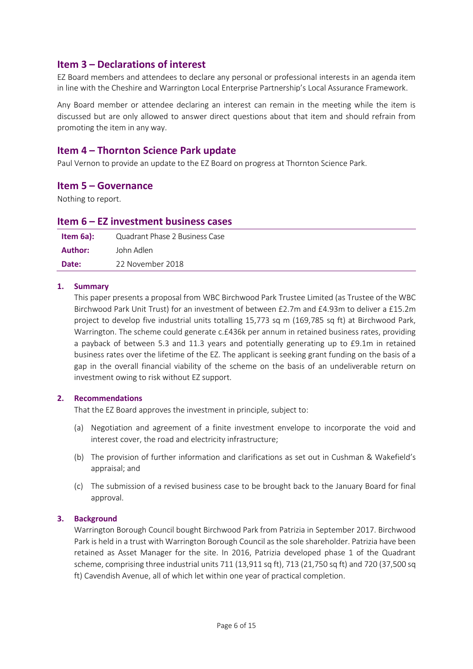## **Item 3 – Declarations of interest**

EZ Board members and attendees to declare any personal or professional interests in an agenda item in line with the Cheshire and Warrington Local Enterprise Partnership's Local Assurance Framework.

Any Board member or attendee declaring an interest can remain in the meeting while the item is discussed but are only allowed to answer direct questions about that item and should refrain from promoting the item in any way.

## **Item 4 – Thornton Science Park update**

Paul Vernon to provide an update to the EZ Board on progress at Thornton Science Park.

### **Item 5 – Governance**

Nothing to report.

### **Item 6 – EZ investment business cases**

| Item $6a$ : | Quadrant Phase 2 Business Case |
|-------------|--------------------------------|
| Author:     | John Adlen                     |
| Date:       | 22 November 2018               |

### **1. Summary**

This paper presents a proposal from WBC Birchwood Park Trustee Limited (as Trustee of the WBC Birchwood Park Unit Trust) for an investment of between £2.7m and £4.93m to deliver a £15.2m project to develop five industrial units totalling 15,773 sq m (169,785 sq ft) at Birchwood Park, Warrington. The scheme could generate c.£436k per annum in retained business rates, providing a payback of between 5.3 and 11.3 years and potentially generating up to £9.1m in retained business rates over the lifetime of the EZ. The applicant is seeking grant funding on the basis of a gap in the overall financial viability of the scheme on the basis of an undeliverable return on investment owing to risk without EZ support.

### **2. Recommendations**

That the EZ Board approves the investment in principle, subject to:

- (a) Negotiation and agreement of a finite investment envelope to incorporate the void and interest cover, the road and electricity infrastructure;
- (b) The provision of further information and clarifications as set out in Cushman & Wakefield's appraisal; and
- (c) The submission of a revised business case to be brought back to the January Board for final approval.

### **3. Background**

Warrington Borough Council bought Birchwood Park from Patrizia in September 2017. Birchwood Park is held in a trust with Warrington Borough Council as the sole shareholder. Patrizia have been retained as Asset Manager for the site. In 2016, Patrizia developed phase 1 of the Quadrant scheme, comprising three industrial units 711 (13,911 sq ft), 713 (21,750 sq ft) and 720 (37,500 sq ft) Cavendish Avenue, all of which let within one year of practical completion.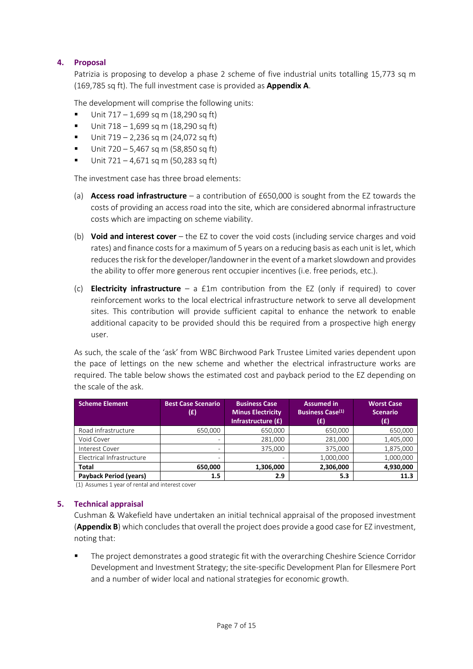### **4. Proposal**

Patrizia is proposing to develop a phase 2 scheme of five industrial units totalling 15,773 sq m (169,785 sq ft). The full investment case is provided as **Appendix A**.

The development will comprise the following units:

- $\blacksquare$  Unit 717 1,699 sq m (18,290 sq ft)
- $\blacksquare$  Unit 718 1,699 sq m (18,290 sq ft)
- $\blacksquare$  Unit 719 2,236 sq m (24,072 sq ft)
- Unit  $720 5,467$  sq m (58,850 sq ft)
- $\blacksquare$  Unit 721 4,671 sq m (50,283 sq ft)

The investment case has three broad elements:

- (a) **Access road infrastructure** a contribution of £650,000 is sought from the EZ towards the costs of providing an access road into the site, which are considered abnormal infrastructure costs which are impacting on scheme viability.
- (b) **Void and interest cover** the EZ to cover the void costs (including service charges and void rates) and finance costs for a maximum of 5 years on a reducing basis as each unit is let, which reduces the risk for the developer/landowner in the event of a market slowdown and provides the ability to offer more generous rent occupier incentives (i.e. free periods, etc.).
- (c) **Electricity infrastructure** a £1m contribution from the EZ (only if required) to cover reinforcement works to the local electrical infrastructure network to serve all development sites. This contribution will provide sufficient capital to enhance the network to enable additional capacity to be provided should this be required from a prospective high energy user.

As such, the scale of the 'ask' from WBC Birchwood Park Trustee Limited varies dependent upon the pace of lettings on the new scheme and whether the electrical infrastructure works are required. The table below shows the estimated cost and payback period to the EZ depending on the scale of the ask.

| <b>Scheme Element</b>         | <b>Best Case Scenario</b><br>(£) | <b>Business Case</b><br><b>Minus Electricity</b><br>Infrastructure (£) | <b>Assumed in</b><br><b>Business Case(1)</b><br>(£) | <b>Worst Case</b><br><b>Scenario</b><br>(£) |
|-------------------------------|----------------------------------|------------------------------------------------------------------------|-----------------------------------------------------|---------------------------------------------|
| Road infrastructure           | 650,000                          | 650,000                                                                | 650,000                                             | 650,000                                     |
| Void Cover                    |                                  | 281.000                                                                | 281,000                                             | 1,405,000                                   |
| Interest Cover                |                                  | 375,000                                                                | 375.000                                             | 1,875,000                                   |
| Electrical Infrastructure     | $\overline{\phantom{a}}$         |                                                                        | 1,000,000                                           | 1,000,000                                   |
| <b>Total</b>                  | 650,000                          | 1,306,000                                                              | 2,306,000                                           | 4,930,000                                   |
| <b>Payback Period (years)</b> | 1.5                              | 2.9                                                                    | 5.3                                                 | 11.3                                        |

(1) Assumes 1 year of rental and interest cover

### **5. Technical appraisal**

Cushman & Wakefield have undertaken an initial technical appraisal of the proposed investment (**Appendix B**) which concludes that overall the project does provide a good case for EZ investment, noting that:

The project demonstrates a good strategic fit with the overarching Cheshire Science Corridor Development and Investment Strategy; the site-specific Development Plan for Ellesmere Port and a number of wider local and national strategies for economic growth.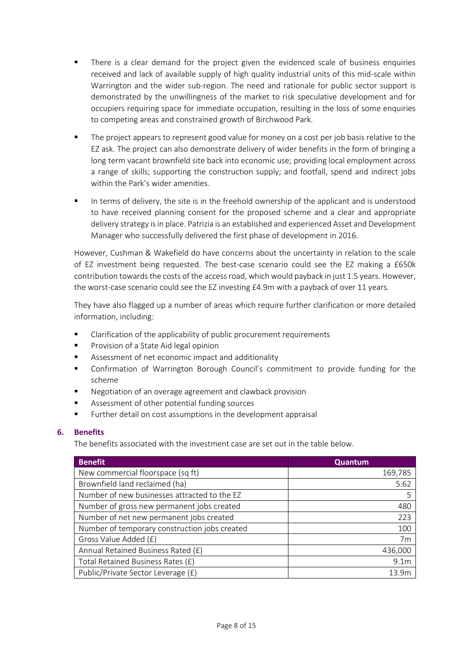- There is a clear demand for the project given the evidenced scale of business enquiries received and lack of available supply of high quality industrial units of this mid-scale within Warrington and the wider sub-region. The need and rationale for public sector support is demonstrated by the unwillingness of the market to risk speculative development and for occupiers requiring space for immediate occupation, resulting in the loss of some enquiries to competing areas and constrained growth of Birchwood Park.
- The project appears to represent good value for money on a cost per job basis relative to the EZ ask. The project can also demonstrate delivery of wider benefits in the form of bringing a long term vacant brownfield site back into economic use; providing local employment across a range of skills; supporting the construction supply; and footfall, spend and indirect jobs within the Park's wider amenities.
- In terms of delivery, the site is in the freehold ownership of the applicant and is understood to have received planning consent for the proposed scheme and a clear and appropriate delivery strategy is in place. Patrizia is an established and experienced Asset and Development Manager who successfully delivered the first phase of development in 2016.

However, Cushman & Wakefield do have concerns about the uncertainty in relation to the scale of EZ investment being requested. The best-case scenario could see the EZ making a £650k contribution towards the costs of the access road, which would payback in just 1.5 years. However, the worst-case scenario could see the EZ investing £4.9m with a payback of over 11 years.

They have also flagged up a number of areas which require further clarification or more detailed information, including:

- Clarification of the applicability of public procurement requirements
- Provision of a State Aid legal opinion
- Assessment of net economic impact and additionality
- Confirmation of Warrington Borough Council's commitment to provide funding for the scheme
- Negotiation of an overage agreement and clawback provision
- Assessment of other potential funding sources
- Further detail on cost assumptions in the development appraisal

### **6. Benefits**

The benefits associated with the investment case are set out in the table below.

| <b>Benefit</b>                                | Quantum          |
|-----------------------------------------------|------------------|
| New commercial floorspace (sq ft)             | 169,785          |
| Brownfield land reclaimed (ha)                | 5.62             |
| Number of new businesses attracted to the EZ  | 5                |
| Number of gross new permanent jobs created    | 480              |
| Number of net new permanent jobs created      | 223              |
| Number of temporary construction jobs created | 100              |
| Gross Value Added (£)                         | 7 <sub>m</sub>   |
| Annual Retained Business Rated (£)            | 436,000          |
| Total Retained Business Rates (£)             | 9.1 <sub>m</sub> |
| Public/Private Sector Leverage (£)            | 13.9m            |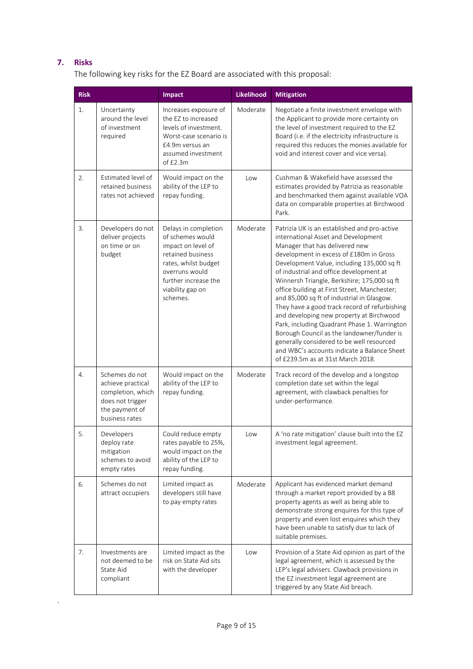### **7. Risks**

.

The following key risks for the EZ Board are associated with this proposal:

| <b>Risk</b> |                                                                                                                  | <b>Impact</b>                                                                                                                                                                         | <b>Likelihood</b> | <b>Mitigation</b>                                                                                                                                                                                                                                                                                                                                                                                                                                                                                                                                                                                                                                                                                                                  |
|-------------|------------------------------------------------------------------------------------------------------------------|---------------------------------------------------------------------------------------------------------------------------------------------------------------------------------------|-------------------|------------------------------------------------------------------------------------------------------------------------------------------------------------------------------------------------------------------------------------------------------------------------------------------------------------------------------------------------------------------------------------------------------------------------------------------------------------------------------------------------------------------------------------------------------------------------------------------------------------------------------------------------------------------------------------------------------------------------------------|
| 1.          | Uncertainty<br>around the level<br>of investment<br>required                                                     | Increases exposure of<br>the EZ to increased<br>levels of investment.<br>Worst-case scenario is<br>£4.9m versus an<br>assumed investment<br>of $£2.3m$                                | Moderate          | Negotiate a finite investment envelope with<br>the Applicant to provide more certainty on<br>the level of investment required to the EZ<br>Board (i.e. if the electricity infrastructure is<br>required this reduces the monies available for<br>void and interest cover and vice versa).                                                                                                                                                                                                                                                                                                                                                                                                                                          |
| 2.          | Estimated level of<br>retained business<br>rates not achieved                                                    | Would impact on the<br>ability of the LEP to<br>repay funding.                                                                                                                        | Low               | Cushman & Wakefield have assessed the<br>estimates provided by Patrizia as reasonable<br>and benchmarked them against available VOA<br>data on comparable properties at Birchwood<br>Park.                                                                                                                                                                                                                                                                                                                                                                                                                                                                                                                                         |
| 3.          | Developers do not<br>deliver projects<br>on time or on<br>budget                                                 | Delays in completion<br>of schemes would<br>impact on level of<br>retained business<br>rates, whilst budget<br>overruns would<br>further increase the<br>viability gap on<br>schemes. | Moderate          | Patrizia UK is an established and pro-active<br>international Asset and Development<br>Manager that has delivered new<br>development in excess of £180m in Gross<br>Development Value, including 135,000 sq ft<br>of industrial and office development at<br>Winnersh Triangle, Berkshire; 175,000 sq ft<br>office building at First Street, Manchester;<br>and 85,000 sq ft of industrial in Glasgow.<br>They have a good track record of refurbishing<br>and developing new property at Birchwood<br>Park, including Quadrant Phase 1. Warrington<br>Borough Council as the landowner/funder is<br>generally considered to be well resourced<br>and WBC's accounts indicate a Balance Sheet<br>of £239.5m as at 31st March 2018. |
| 4.          | Schemes do not<br>achieve practical<br>completion, which<br>does not trigger<br>the payment of<br>business rates | Would impact on the<br>ability of the LEP to<br>repay funding.                                                                                                                        | Moderate          | Track record of the develop and a longstop<br>completion date set within the legal<br>agreement, with clawback penalties for<br>under-performance.                                                                                                                                                                                                                                                                                                                                                                                                                                                                                                                                                                                 |
| 5.          | Developers<br>deploy rate<br>mitigation<br>schemes to avoid<br>empty rates                                       | Could reduce empty<br>rates payable to 25%,<br>would impact on the<br>ability of the LEP to<br>repay funding.                                                                         | Low               | A 'no rate mitigation' clause built into the EZ<br>investment legal agreement.                                                                                                                                                                                                                                                                                                                                                                                                                                                                                                                                                                                                                                                     |
| 6.          | Schemes do not<br>attract occupiers                                                                              | Limited impact as<br>developers still have<br>to pay empty rates                                                                                                                      | Moderate          | Applicant has evidenced market demand<br>through a market report provided by a B8<br>property agents as well as being able to<br>demonstrate strong enquires for this type of<br>property and even lost enquires which they<br>have been unable to satisfy due to lack of<br>suitable premises.                                                                                                                                                                                                                                                                                                                                                                                                                                    |
| 7.          | Investments are<br>not deemed to be<br>State Aid<br>compliant                                                    | Limited impact as the<br>risk on State Aid sits<br>with the developer                                                                                                                 | Low               | Provision of a State Aid opinion as part of the<br>legal agreement, which is assessed by the<br>LEP's legal advisers. Clawback provisions in<br>the EZ investment legal agreement are<br>triggered by any State Aid breach.                                                                                                                                                                                                                                                                                                                                                                                                                                                                                                        |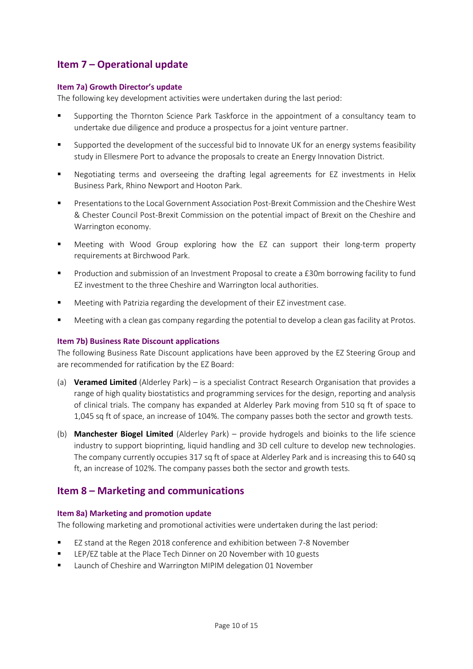## **Item 7 – Operational update**

### **Item 7a) Growth Director's update**

The following key development activities were undertaken during the last period:

- Supporting the Thornton Science Park Taskforce in the appointment of a consultancy team to undertake due diligence and produce a prospectus for a joint venture partner.
- Supported the development of the successful bid to Innovate UK for an energy systems feasibility study in Ellesmere Port to advance the proposals to create an Energy Innovation District.
- Negotiating terms and overseeing the drafting legal agreements for EZ investments in Helix Business Park, Rhino Newport and Hooton Park.
- Presentations to the Local Government Association Post-Brexit Commission and the Cheshire West & Chester Council Post-Brexit Commission on the potential impact of Brexit on the Cheshire and Warrington economy.
- Meeting with Wood Group exploring how the EZ can support their long-term property requirements at Birchwood Park.
- Production and submission of an Investment Proposal to create a £30m borrowing facility to fund EZ investment to the three Cheshire and Warrington local authorities.
- Meeting with Patrizia regarding the development of their EZ investment case.
- Meeting with a clean gas company regarding the potential to develop a clean gas facility at Protos.

### **Item 7b) Business Rate Discount applications**

The following Business Rate Discount applications have been approved by the EZ Steering Group and are recommended for ratification by the EZ Board:

- (a) **Veramed Limited** (Alderley Park) is a specialist Contract Research Organisation that provides a range of high quality biostatistics and programming services for the design, reporting and analysis of clinical trials. The company has expanded at Alderley Park moving from 510 sq ft of space to 1,045 sq ft of space, an increase of 104%. The company passes both the sector and growth tests.
- (b) **Manchester Biogel Limited** (Alderley Park) provide hydrogels and bioinks to the life science industry to support bioprinting, liquid handling and 3D cell culture to develop new technologies. The company currently occupies 317 sq ft of space at Alderley Park and is increasing this to 640 sq ft, an increase of 102%. The company passes both the sector and growth tests.

## **Item 8 – Marketing and communications**

### **Item 8a) Marketing and promotion update**

The following marketing and promotional activities were undertaken during the last period:

- EZ stand at the Regen 2018 conference and exhibition between 7-8 November
- LEP/EZ table at the Place Tech Dinner on 20 November with 10 guests
- Launch of Cheshire and Warrington MIPIM delegation 01 November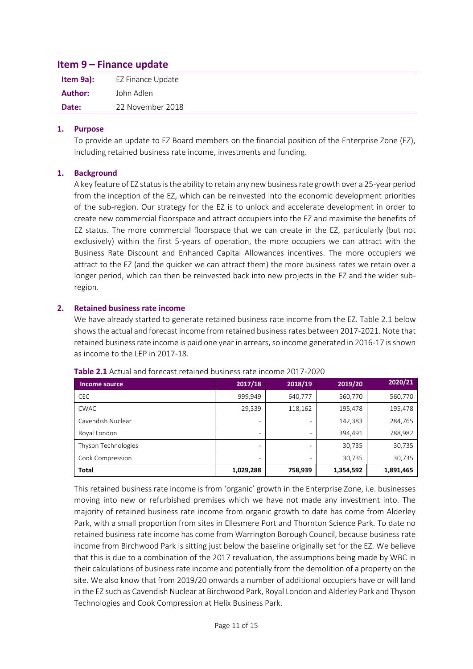## **Item 9 – Finance update**

| Item 9a): | EZ Finance Update |
|-----------|-------------------|
| Author:   | John Adlen        |
| Date:     | 22 November 2018  |

### **1. Purpose**

To provide an update to EZ Board members on the financial position of the Enterprise Zone (EZ), including retained business rate income, investments and funding.

### **1. Background**

A key feature of EZ status is the ability to retain any new business rate growth over a 25-year period from the inception of the EZ, which can be reinvested into the economic development priorities of the sub-region. Our strategy for the EZ is to unlock and accelerate development in order to create new commercial floorspace and attract occupiers into the EZ and maximise the benefits of EZ status. The more commercial floorspace that we can create in the EZ, particularly (but not exclusively) within the first 5-years of operation, the more occupiers we can attract with the Business Rate Discount and Enhanced Capital Allowances incentives. The more occupiers we attract to the EZ (and the quicker we can attract them) the more business rates we retain over a longer period, which can then be reinvested back into new projects in the EZ and the wider subregion.

### **2. Retained business rate income**

We have already started to generate retained business rate income from the EZ. Table 2.1 below shows the actual and forecast income from retained business rates between 2017-2021. Note that retained business rate income is paid one year in arrears, so income generated in 2016-17 is shown as income to the LEP in 2017-18.

| Income source       | 2017/18                      | 2018/19 | 2019/20   | 2020/21   |
|---------------------|------------------------------|---------|-----------|-----------|
| <b>CEC</b>          | 999,949                      | 640,777 | 560,770   | 560,770   |
| <b>CWAC</b>         | 29,339                       | 118,162 | 195,478   | 195,478   |
| Cavendish Nuclear   | $\qquad \qquad \blacksquare$ | ۰       | 142,383   | 284,765   |
| Royal London        | $\qquad \qquad$              |         | 394,491   | 788,982   |
| Thyson Technologies | $\qquad \qquad \blacksquare$ | ۰       | 30,735    | 30,735    |
| Cook Compression    | $\qquad \qquad \blacksquare$ |         | 30,735    | 30,735    |
| <b>Total</b>        | 1,029,288                    | 758,939 | 1,354,592 | 1,891,465 |

**Table 2.1** Actual and forecast retained business rate income 2017-2020

This retained business rate income is from 'organic' growth in the Enterprise Zone, i.e. businesses moving into new or refurbished premises which we have not made any investment into. The majority of retained business rate income from organic growth to date has come from Alderley Park, with a small proportion from sites in Ellesmere Port and Thornton Science Park. To date no retained business rate income has come from Warrington Borough Council, because business rate income from Birchwood Park is sitting just below the baseline originally set for the EZ. We believe that this is due to a combination of the 2017 revaluation, the assumptions being made by WBC in their calculations of business rate income and potentially from the demolition of a property on the site. We also know that from 2019/20 onwards a number of additional occupiers have or will land in the EZ such as Cavendish Nuclear at Birchwood Park, Royal London and Alderley Park and Thyson Technologies and Cook Compression at Helix Business Park.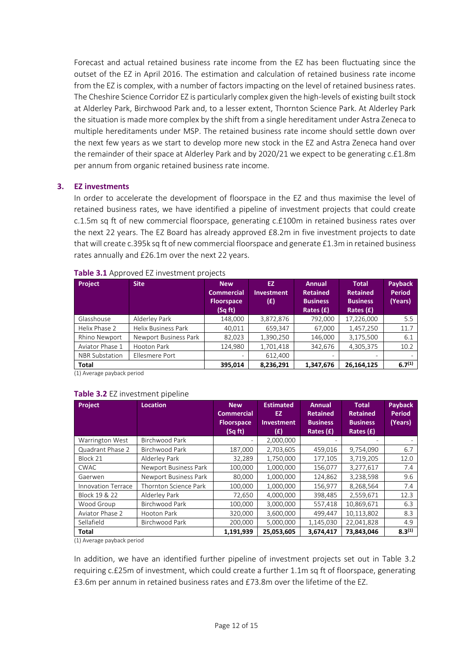Forecast and actual retained business rate income from the EZ has been fluctuating since the outset of the EZ in April 2016. The estimation and calculation of retained business rate income from the EZ is complex, with a number of factors impacting on the level of retained business rates. The Cheshire Science Corridor EZ is particularly complex given the high-levels of existing built stock at Alderley Park, Birchwood Park and, to a lesser extent, Thornton Science Park. At Alderley Park the situation is made more complex by the shift from a single hereditament under Astra Zeneca to multiple hereditaments under MSP. The retained business rate income should settle down over the next few years as we start to develop more new stock in the EZ and Astra Zeneca hand over the remainder of their space at Alderley Park and by 2020/21 we expect to be generating c.£1.8m per annum from organic retained business rate income.

### **3. EZ investments**

In order to accelerate the development of floorspace in the EZ and thus maximise the level of retained business rates, we have identified a pipeline of investment projects that could create c.1.5m sq ft of new commercial floorspace, generating c.£100m in retained business rates over the next 22 years. The EZ Board has already approved £8.2m in five investment projects to date that will create c.395k sq ft of new commercial floorspace and generate £1.3m in retained business rates annually and £26.1m over the next 22 years.

| <b>Project</b>        | <b>Site</b>           | <b>New</b><br><b>Commercial</b><br><b>Floorspace</b><br>(Sq ft) | EZ.<br><b>Investment</b><br>(E) | <b>Annual</b><br><b>Retained</b><br><b>Business</b><br>Rates $(f)$ | <b>Total</b><br><b>Retained</b><br><b>Business</b><br>Rates $(f)$ | <b>Payback</b><br>Period<br>(Years) |
|-----------------------|-----------------------|-----------------------------------------------------------------|---------------------------------|--------------------------------------------------------------------|-------------------------------------------------------------------|-------------------------------------|
| Glasshouse            | Alderley Park         | 148,000                                                         | 3,872,876                       | 792,000                                                            | 17,226,000                                                        | 5.5                                 |
| Helix Phase 2         | Helix Business Park   | 40,011                                                          | 659,347                         | 67,000                                                             | 1,457,250                                                         | 11.7                                |
| Rhino Newport         | Newport Business Park | 82.023                                                          | 1,390,250                       | 146.000                                                            | 3,175,500                                                         | 6.1                                 |
| Aviator Phase 1       | Hooton Park           | 124,980                                                         | 1,701,418                       | 342,676                                                            | 4,305,375                                                         | 10.2                                |
| <b>NBR Substation</b> | Ellesmere Port        |                                                                 | 612,400                         | $\overline{\phantom{0}}$                                           |                                                                   |                                     |
| <b>Total</b>          |                       | 395,014                                                         | 8,236,291                       | 1,347,676                                                          | 26,164,125                                                        | 6.7 <sup>(1)</sup>                  |

#### **Table 3.1** Approved EZ investment projects

(1) Average payback period

### **Table 3.2** EZ investment pipeline

| Project                   | <b>Location</b>       | <b>New</b><br><b>Commercial</b><br><b>Floorspace</b><br>(Sq ft) | <b>Estimated</b><br>EZ.<br>Investment<br>(£) | <b>Annual</b><br><b>Retained</b><br><b>Business</b><br>Rates $(E)$ | <b>Total</b><br><b>Retained</b><br><b>Business</b><br>Rates $(f)$ | <b>Payback</b><br><b>Period</b><br>(Years) |
|---------------------------|-----------------------|-----------------------------------------------------------------|----------------------------------------------|--------------------------------------------------------------------|-------------------------------------------------------------------|--------------------------------------------|
| Warrington West           | Birchwood Park        |                                                                 | 2,000,000                                    |                                                                    |                                                                   |                                            |
| Quadrant Phase 2          | Birchwood Park        | 187,000                                                         | 2,703,605                                    | 459,016                                                            | 9,754,090                                                         | 6.7                                        |
| Block 21                  | Alderley Park         | 32,289                                                          | 1,750,000                                    | 177,105                                                            | 3,719,205                                                         | 12.0                                       |
| <b>CWAC</b>               | Newport Business Park | 100,000                                                         | 1,000,000                                    | 156,077                                                            | 3,277,617                                                         | 7.4                                        |
| Gaerwen                   | Newport Business Park | 80,000                                                          | 1,000,000                                    | 124,862                                                            | 3,238,598                                                         | 9.6                                        |
| <b>Innovation Terrace</b> | Thornton Science Park | 100,000                                                         | 1,000,000                                    | 156,977                                                            | 8,268,564                                                         | 7.4                                        |
| Block 19 & 22             | Alderley Park         | 72,650                                                          | 4,000,000                                    | 398,485                                                            | 2,559,671                                                         | 12.3                                       |
| Wood Group                | Birchwood Park        | 100,000                                                         | 3,000,000                                    | 557,418                                                            | 10,869,671                                                        | 6.3                                        |
| Aviator Phase 2           | Hooton Park           | 320,000                                                         | 3,600,000                                    | 499,447                                                            | 10,113,802                                                        | 8.3                                        |
| Sellafield                | Birchwood Park        | 200,000                                                         | 5,000,000                                    | 1,145,030                                                          | 22,041,828                                                        | 4.9                                        |
| Total                     |                       | 1,191,939                                                       | 25,053,605                                   | 3,674,417                                                          | 73,843,046                                                        | $8.3^{(1)}$                                |

(1) Average payback period

In addition, we have an identified further pipeline of investment projects set out in Table 3.2 requiring c.£25m of investment, which could create a further 1.1m sq ft of floorspace, generating £3.6m per annum in retained business rates and £73.8m over the lifetime of the EZ.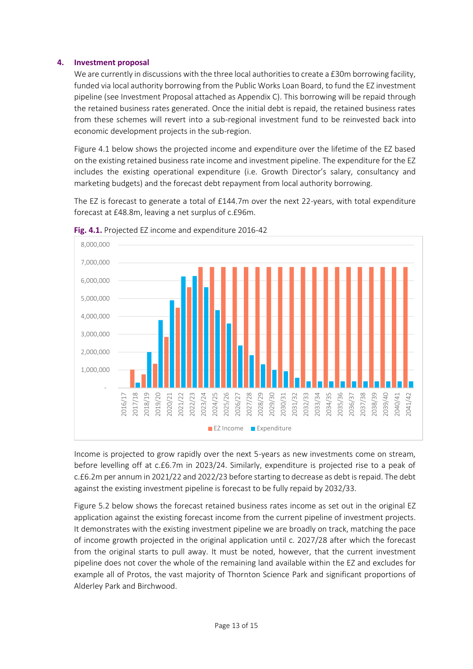### **4. Investment proposal**

We are currently in discussions with the three local authorities to create a £30m borrowing facility, funded via local authority borrowing from the Public Works Loan Board, to fund the EZ investment pipeline (see Investment Proposal attached as Appendix C). This borrowing will be repaid through the retained business rates generated. Once the initial debt is repaid, the retained business rates from these schemes will revert into a sub-regional investment fund to be reinvested back into economic development projects in the sub-region.

Figure 4.1 below shows the projected income and expenditure over the lifetime of the EZ based on the existing retained business rate income and investment pipeline. The expenditure for the EZ includes the existing operational expenditure (i.e. Growth Director's salary, consultancy and marketing budgets) and the forecast debt repayment from local authority borrowing.

The EZ is forecast to generate a total of £144.7m over the next 22-years, with total expenditure forecast at £48.8m, leaving a net surplus of c.£96m.



**Fig. 4.1.** Projected EZ income and expenditure 2016-42

Income is projected to grow rapidly over the next 5-years as new investments come on stream, before levelling off at c.£6.7m in 2023/24. Similarly, expenditure is projected rise to a peak of c.£6.2m per annum in 2021/22 and 2022/23 before starting to decrease as debt is repaid. The debt against the existing investment pipeline is forecast to be fully repaid by 2032/33.

Figure 5.2 below shows the forecast retained business rates income as set out in the original EZ application against the existing forecast income from the current pipeline of investment projects. It demonstrates with the existing investment pipeline we are broadly on track, matching the pace of income growth projected in the original application until c. 2027/28 after which the forecast from the original starts to pull away. It must be noted, however, that the current investment pipeline does not cover the whole of the remaining land available within the EZ and excludes for example all of Protos, the vast majority of Thornton Science Park and significant proportions of Alderley Park and Birchwood.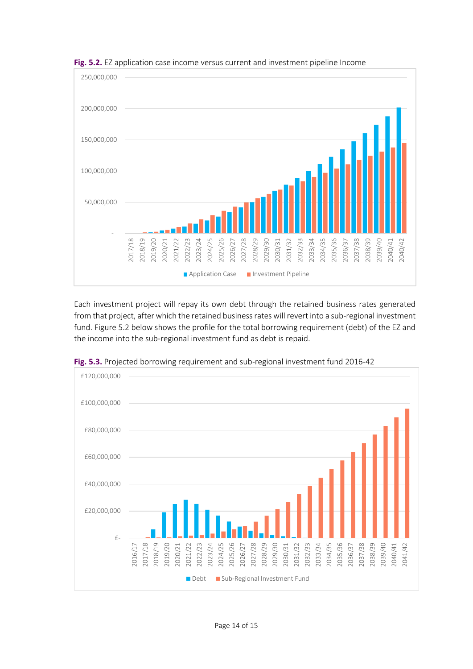

**Fig. 5.2.** EZ application case income versus current and investment pipeline Income

Each investment project will repay its own debt through the retained business rates generated from that project, after which the retained business rates will revert into a sub-regional investment fund. Figure 5.2 below shows the profile for the total borrowing requirement (debt) of the EZ and the income into the sub-regional investment fund as debt is repaid.



Fig. 5.3. Projected borrowing requirement and sub-regional investment fund 2016-42